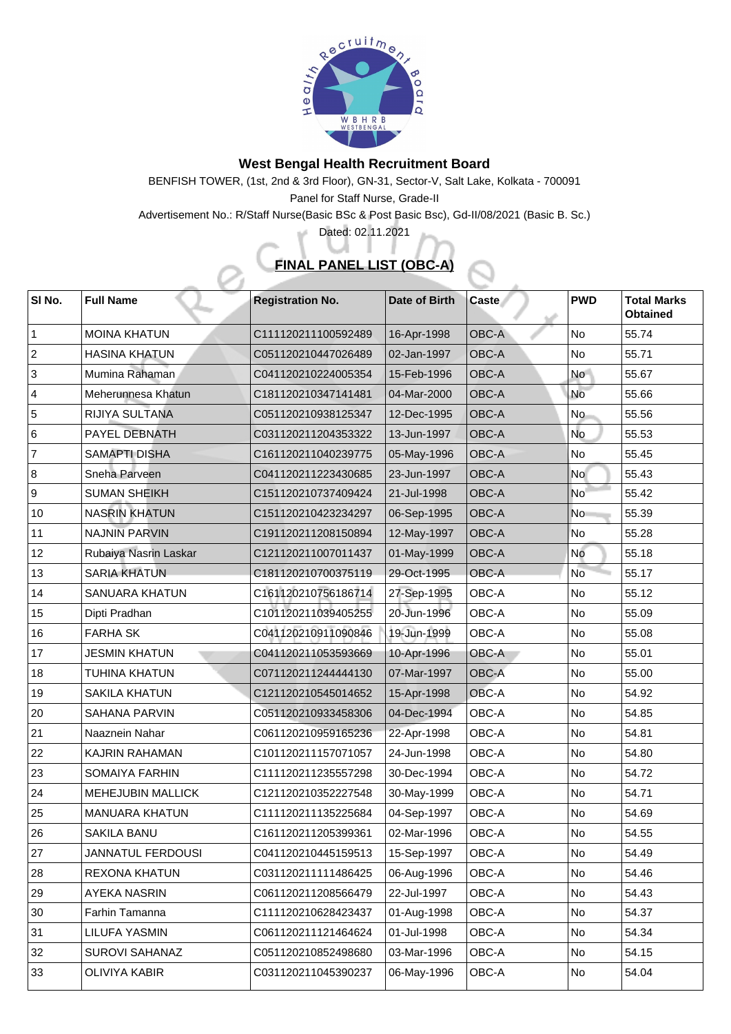

## **West Bengal Health Recruitment Board**

BENFISH TOWER, (1st, 2nd & 3rd Floor), GN-31, Sector-V, Salt Lake, Kolkata - 700091 Panel for Staff Nurse, Grade-II

Advertisement No.: R/Staff Nurse(Basic BSc & Post Basic Bsc), Gd-II/08/2021 (Basic B. Sc.)

Dated: 02.11.2021

## **FINAL PANEL LIST (OBC-A)**

| SI No.         | <b>Full Name</b>         | <b>Registration No.</b> | Date of Birth | <b>Caste</b> | <b>PWD</b>     | <b>Total Marks</b><br><b>Obtained</b> |
|----------------|--------------------------|-------------------------|---------------|--------------|----------------|---------------------------------------|
|                | <b>MOINA KHATUN</b>      | C111120211100592489     | 16-Apr-1998   | <b>OBC-A</b> | No             | 55.74                                 |
| $\overline{2}$ | <b>HASINA KHATUN</b>     | C051120210447026489     | 02-Jan-1997   | <b>OBC-A</b> | No             | 55.71                                 |
| 3              | Mumina Rahaman           | C041120210224005354     | 15-Feb-1996   | <b>OBC-A</b> | <b>No</b>      | 55.67                                 |
| $\overline{4}$ | Meherunnesa Khatun       | C181120210347141481     | 04-Mar-2000   | <b>OBC-A</b> | <b>No</b>      | 55.66                                 |
| 5              | <b>RIJIYA SULTANA</b>    | C051120210938125347     | 12-Dec-1995   | <b>OBC-A</b> | <b>No</b>      | 55.56                                 |
| 6              | <b>PAYEL DEBNATH</b>     | C031120211204353322     | 13-Jun-1997   | <b>OBC-A</b> | <b>No</b>      | 55.53                                 |
| $\overline{7}$ | <b>SAMAPTI DISHA</b>     | C161120211040239775     | 05-May-1996   | <b>OBC-A</b> | <b>No</b>      | 55.45                                 |
| 8              | <b>Sneha Parveen</b>     | C041120211223430685     | 23-Jun-1997   | <b>OBC-A</b> | <b>No</b>      | 55.43                                 |
| 9              | <b>SUMAN SHEIKH</b>      | C151120210737409424     | 21-Jul-1998   | <b>OBC-A</b> | <b>No</b>      | 55.42                                 |
| 10             | <b>NASRIN KHATUN</b>     | C151120210423234297     | 06-Sep-1995   | <b>OBC-A</b> | <b>No</b>      | 55.39                                 |
| 11             | <b>NAJNIN PARVIN</b>     | C191120211208150894     | 12-May-1997   | <b>OBC-A</b> | No             | 55.28                                 |
| 12             | Rubaiya Nasrin Laskar    | C121120211007011437     | 01-May-1999   | <b>OBC-A</b> | No             | 55.18                                 |
| 13             | <b>SARIA KHATUN</b>      | C181120210700375119     | 29-Oct-1995   | <b>OBC-A</b> | <b>No</b>      | 55.17                                 |
| 14             | <b>SANUARA KHATUN</b>    | C161120210756186714     | 27-Sep-1995   | OBC-A        | No             | 55.12                                 |
| 15             | Dipti Pradhan            | C101120211039405255     | 20-Jun-1996   | <b>OBC-A</b> | No             | 55.09                                 |
| 16             | <b>FARHA SK</b>          | C041120210911090846     | 19-Jun-1999   | OBC-A        | No             | 55.08                                 |
| 17             | <b>JESMIN KHATUN</b>     | C041120211053593669     | 10-Apr-1996   | OBC-A        | N <sub>o</sub> | 55.01                                 |
| 18             | <b>TUHINA KHATUN</b>     | C071120211244444130     | 07-Mar-1997   | <b>OBC-A</b> | No             | 55.00                                 |
| 19             | <b>SAKILA KHATUN</b>     | C121120210545014652     | 15-Apr-1998   | OBC-A        | N <sub>o</sub> | 54.92                                 |
| 20             | <b>SAHANA PARVIN</b>     | C051120210933458306     | 04-Dec-1994   | <b>OBC-A</b> | No             | 54.85                                 |
| 21             | <b>Naaznein Nahar</b>    | C061120210959165236     | 22-Apr-1998   | <b>OBC-A</b> | N <sub>o</sub> | 54.81                                 |
| $ 22\rangle$   | <b>KAJRIN RAHAMAN</b>    | C101120211157071057     | 24-Jun-1998   | <b>OBC-A</b> | No             | 54.80                                 |
| 23             | <b>SOMAIYA FARHIN</b>    | C111120211235557298     | 30-Dec-1994   | <b>OBC-A</b> | No             | 54.72                                 |
| 24             | <b>MEHEJUBIN MALLICK</b> | C121120210352227548     | 30-May-1999   | OBC-A        | N <sub>o</sub> | 54.71                                 |
| 25             | <b>MANUARA KHATUN</b>    | C111120211135225684     | 04-Sep-1997   | OBC-A        | N <sub>o</sub> | 54.69                                 |
| 26             | <b>SAKILA BANU</b>       | C161120211205399361     | 02-Mar-1996   | OBC-A        | No             | 54.55                                 |
| 27             | <b>JANNATUL FERDOUSI</b> | C041120210445159513     | 15-Sep-1997   | <b>OBC-A</b> | No             | 54.49                                 |
| 28             | <b>REXONA KHATUN</b>     | C031120211111486425     | 06-Aug-1996   | <b>OBC-A</b> | No             | 54.46                                 |
| 29             | <b>AYEKA NASRIN</b>      | C061120211208566479     | 22-Jul-1997   | <b>OBC-A</b> | No             | 54.43                                 |
| 30             | <b>Farhin Tamanna</b>    | C111120210628423437     | 01-Aug-1998   | <b>OBC-A</b> | No             | 54.37                                 |
| 31             | LILUFA YASMIN            | C061120211121464624     | 01-Jul-1998   | <b>OBC-A</b> | No             | 54.34                                 |
| 32             | <b>SUROVI SAHANAZ</b>    | C051120210852498680     | 03-Mar-1996   | OBC-A        | No             | 54.15                                 |
| 33             | <b>OLIVIYA KABIR</b>     | C031120211045390237     | 06-May-1996   | OBC-A        | N <sub>o</sub> | 54.04                                 |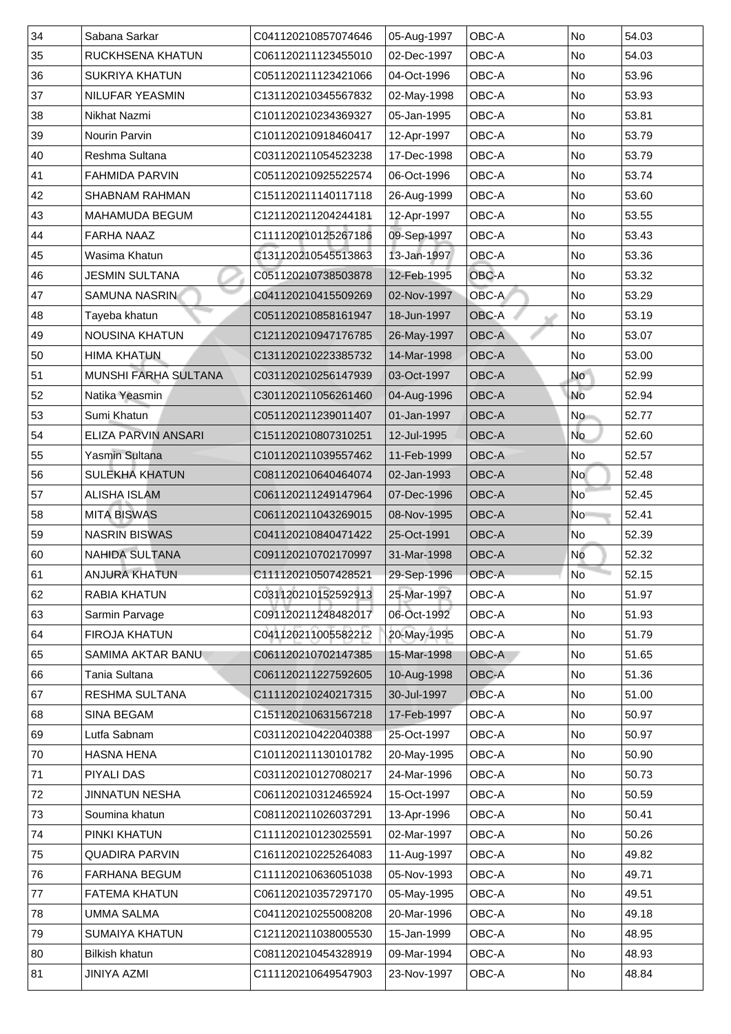| 34           | Sabana Sarkar               | C041120210857074646 | 05-Aug-1997 | <b>OBC-A</b> | <b>No</b> | 54.03 |
|--------------|-----------------------------|---------------------|-------------|--------------|-----------|-------|
| 35           | RUCKHSENA KHATUN            | C061120211123455010 | 02-Dec-1997 | <b>OBC-A</b> | <b>No</b> | 54.03 |
| 36           | <b>SUKRIYA KHATUN</b>       | C051120211123421066 | 04-Oct-1996 | <b>OBC-A</b> | <b>No</b> | 53.96 |
| 37           | <b>NILUFAR YEASMIN</b>      | C131120210345567832 | 02-May-1998 | <b>OBC-A</b> | <b>No</b> | 53.93 |
| 38           | <b>Nikhat Nazmi</b>         | C101120210234369327 | 05-Jan-1995 | <b>OBC-A</b> | No        | 53.81 |
| 39           | <b>Nourin Parvin</b>        | C101120210918460417 | 12-Apr-1997 | <b>OBC-A</b> | No        | 53.79 |
| 40           | <b>Reshma Sultana</b>       | C031120211054523238 | 17-Dec-1998 | <b>OBC-A</b> | <b>No</b> | 53.79 |
| 41           | <b>FAHMIDA PARVIN</b>       | C051120210925522574 | 06-Oct-1996 | <b>OBC-A</b> | <b>No</b> | 53.74 |
| 42           | <b>SHABNAM RAHMAN</b>       | C151120211140117118 | 26-Aug-1999 | <b>OBC-A</b> | No        | 53.60 |
| 43           | <b>MAHAMUDA BEGUM</b>       | C121120211204244181 | 12-Apr-1997 | <b>OBC-A</b> | <b>No</b> | 53.55 |
| 44           | <b>FARHA NAAZ</b>           | C111120210125267186 | 09-Sep-1997 | <b>OBC-A</b> | <b>No</b> | 53.43 |
| 45           | Wasima Khatun               | C131120210545513863 | 13-Jan-1997 | <b>OBC-A</b> | No        | 53.36 |
| 46           | <b>JESMIN SULTANA</b>       | C051120210738503878 | 12-Feb-1995 | <b>OBC-A</b> | <b>No</b> | 53.32 |
| 47           | <b>SAMUNA NASRIN</b>        | C041120210415509269 | 02-Nov-1997 | OBC-A        | <b>No</b> | 53.29 |
| 48           | Tayeba khatun               | C051120210858161947 | 18-Jun-1997 | <b>OBC-A</b> | <b>No</b> | 53.19 |
| 49           | <b>NOUSINA KHATUN</b>       | C121120210947176785 | 26-May-1997 | <b>OBC-A</b> | No        | 53.07 |
| 50           | <b>HIMA KHATUN</b>          | C131120210223385732 | 14-Mar-1998 | <b>OBC-A</b> | No        | 53.00 |
| 51           | <b>MUNSHI FARHA SULTANA</b> | C031120210256147939 | 03-Oct-1997 | <b>OBC-A</b> | <b>No</b> | 52.99 |
| 52           | Natika Yeasmin              | C301120211056261460 | 04-Aug-1996 | <b>OBC-A</b> | <b>No</b> | 52.94 |
| 53           | Sumi Khatun                 | C051120211239011407 | 01-Jan-1997 | <b>OBC-A</b> | <b>No</b> | 52.77 |
| 54           | <b>ELIZA PARVIN ANSARI</b>  | C151120210807310251 | 12-Jul-1995 | <b>OBC-A</b> | <b>No</b> | 52.60 |
| 55           | Yasmin Sultana              | C101120211039557462 | 11-Feb-1999 | <b>OBC-A</b> | No        | 52.57 |
| 56           | <b>SULEKHA KHATUN</b>       | C081120210640464074 | 02-Jan-1993 | <b>OBC-A</b> | <b>No</b> | 52.48 |
| 57           | <b>ALISHA ISLAM</b>         | C061120211249147964 | 07-Dec-1996 | <b>OBC-A</b> | <b>No</b> | 52.45 |
| 58           | <b>MITA BISWAS</b>          | C061120211043269015 | 08-Nov-1995 | <b>OBC-A</b> | <b>No</b> | 52.41 |
| 59           | <b>NASRIN BISWAS</b>        | C041120210840471422 | 25-Oct-1991 | <b>OBC-A</b> | No        | 52.39 |
| 60           | <b>NAHIDA SULTANA</b>       | C091120210702170997 | 31-Mar-1998 | <b>OBC-A</b> | No        | 52.32 |
| $ 61\rangle$ | <b>ANJURA KHATUN</b>        | C111120210507428521 | 29-Sep-1996 | <b>OBC-A</b> | <b>No</b> | 52.15 |
| 62           | <b>RABIA KHATUN</b>         | C031120210152592913 | 25-Mar-1997 | <b>OBC-A</b> | No        | 51.97 |
| 63           | <b>Sarmin Parvage</b>       | C091120211248482017 | 06-Oct-1992 | <b>OBC-A</b> | <b>No</b> | 51.93 |
| 64           | <b>FIROJA KHATUN</b>        | C041120211005582212 | 20-May-1995 | <b>OBC-A</b> | <b>No</b> | 51.79 |
| 65           | <b>SAMIMA AKTAR BANU</b>    | C061120210702147385 | 15-Mar-1998 | OBC-A        | No        | 51.65 |
| 66           | Tania Sultana               | C061120211227592605 | 10-Aug-1998 | <b>OBC-A</b> | No        | 51.36 |
| 67           | <b>RESHMA SULTANA</b>       | C111120210240217315 | 30-Jul-1997 | <b>OBC-A</b> | <b>No</b> | 51.00 |
| 68           | <b>SINA BEGAM</b>           | C151120210631567218 | 17-Feb-1997 | <b>OBC-A</b> | <b>No</b> | 50.97 |
| 69           | Lutfa Sabnam                | C031120210422040388 | 25-Oct-1997 | <b>OBC-A</b> | No        | 50.97 |
| 70           | <b>HASNA HENA</b>           | C101120211130101782 | 20-May-1995 | <b>OBC-A</b> | <b>No</b> | 50.90 |
| 71           | <b>PIYALI DAS</b>           | C031120210127080217 | 24-Mar-1996 | <b>OBC-A</b> | <b>No</b> | 50.73 |
| 72           | <b>JINNATUN NESHA</b>       | C061120210312465924 | 15-Oct-1997 | <b>OBC-A</b> | No        | 50.59 |
| 73           | Soumina khatun              | C081120211026037291 | 13-Apr-1996 | <b>OBC-A</b> | <b>No</b> | 50.41 |
| 74           | <b>PINKI KHATUN</b>         | C111120210123025591 | 02-Mar-1997 | <b>OBC-A</b> | No        | 50.26 |
| 75           | <b>QUADIRA PARVIN</b>       | C161120210225264083 | 11-Aug-1997 | <b>OBC-A</b> | No        | 49.82 |
| 76           | <b>FARHANA BEGUM</b>        | C111120210636051038 | 05-Nov-1993 | <b>OBC-A</b> | No        | 49.71 |
| 77           | <b>FATEMA KHATUN</b>        | C061120210357297170 | 05-May-1995 | <b>OBC-A</b> | No        | 49.51 |
| 78           | <b>UMMA SALMA</b>           | C041120210255008208 | 20-Mar-1996 | <b>OBC-A</b> | No        | 49.18 |
| 79           | <b>SUMAIYA KHATUN</b>       | C121120211038005530 | 15-Jan-1999 | <b>OBC-A</b> | No        | 48.95 |
| 80           | <b>Bilkish khatun</b>       | C081120210454328919 | 09-Mar-1994 | <b>OBC-A</b> | No        | 48.93 |
| 81           | JINIYA AZMI                 | C111120210649547903 | 23-Nov-1997 | <b>OBC-A</b> | <b>No</b> | 48.84 |
|              |                             |                     |             |              |           |       |